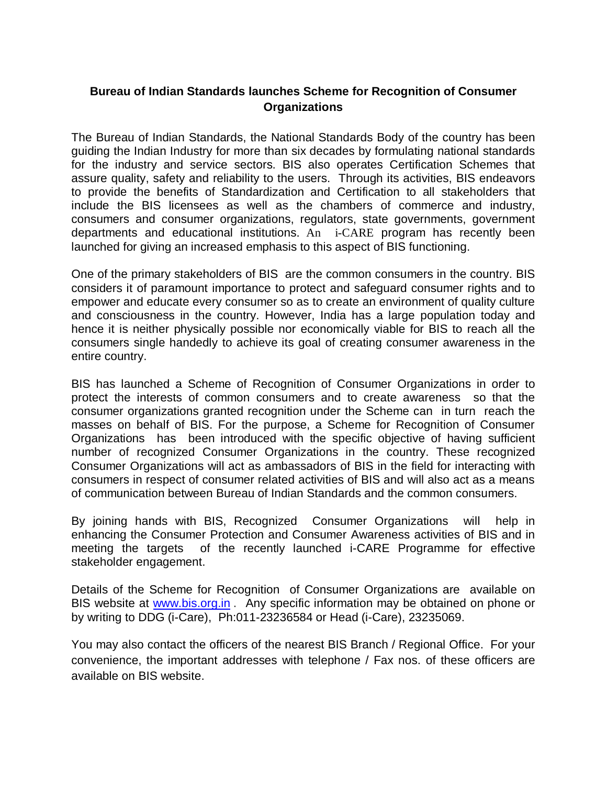## **Bureau of Indian Standards launches Scheme for Recognition of Consumer Organizations**

The Bureau of Indian Standards, the National Standards Body of the country has been guiding the Indian Industry for more than six decades by formulating national standards for the industry and service sectors. BIS also operates Certification Schemes that assure quality, safety and reliability to the users. Through its activities, BIS endeavors to provide the benefits of Standardization and Certification to all stakeholders that include the BIS licensees as well as the chambers of commerce and industry, consumers and consumer organizations, regulators, state governments, government departments and educational institutions. An i-CARE program has recently been launched for giving an increased emphasis to this aspect of BIS functioning.

One of the primary stakeholders of BIS are the common consumers in the country. BIS considers it of paramount importance to protect and safeguard consumer rights and to empower and educate every consumer so as to create an environment of quality culture and consciousness in the country. However, India has a large population today and hence it is neither physically possible nor economically viable for BIS to reach all the consumers single handedly to achieve its goal of creating consumer awareness in the entire country.

BIS has launched a Scheme of Recognition of Consumer Organizations in order to protect the interests of common consumers and to create awareness so that the consumer organizations granted recognition under the Scheme can in turn reach the masses on behalf of BIS. For the purpose, a Scheme for Recognition of Consumer Organizations has been introduced with the specific objective of having sufficient number of recognized Consumer Organizations in the country. These recognized Consumer Organizations will act as ambassadors of BIS in the field for interacting with consumers in respect of consumer related activities of BIS and will also act as a means of communication between Bureau of Indian Standards and the common consumers.

By joining hands with BIS, Recognized Consumer Organizations will help in enhancing the Consumer Protection and Consumer Awareness activities of BIS and in meeting the targets of the recently launched i-CARE Programme for effective stakeholder engagement.

Details of the Scheme for Recognition of Consumer Organizations are available on BIS website at www.bis.org.in . Any specific information may be obtained on phone or by writing to DDG (i-Care), Ph:011-23236584 or Head (i-Care), 23235069.

You may also contact the officers of the nearest BIS Branch / Regional Office. For your convenience, the important addresses with telephone / Fax nos. of these officers are available on BIS website.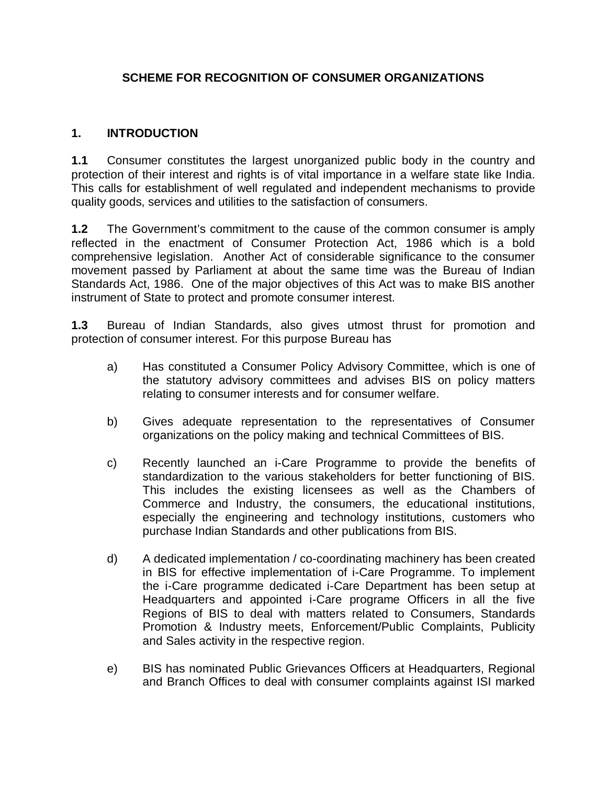# **SCHEME FOR RECOGNITION OF CONSUMER ORGANIZATIONS**

### **1. INTRODUCTION**

**1.1** Consumer constitutes the largest unorganized public body in the country and protection of their interest and rights is of vital importance in a welfare state like India. This calls for establishment of well regulated and independent mechanisms to provide quality goods, services and utilities to the satisfaction of consumers.

**1.2** The Government's commitment to the cause of the common consumer is amply reflected in the enactment of Consumer Protection Act, 1986 which is a bold comprehensive legislation. Another Act of considerable significance to the consumer movement passed by Parliament at about the same time was the Bureau of Indian Standards Act, 1986. One of the major objectives of this Act was to make BIS another instrument of State to protect and promote consumer interest.

**1.3** Bureau of Indian Standards, also gives utmost thrust for promotion and protection of consumer interest. For this purpose Bureau has

- a) Has constituted a Consumer Policy Advisory Committee, which is one of the statutory advisory committees and advises BIS on policy matters relating to consumer interests and for consumer welfare.
- b) Gives adequate representation to the representatives of Consumer organizations on the policy making and technical Committees of BIS.
- c) Recently launched an i-Care Programme to provide the benefits of standardization to the various stakeholders for better functioning of BIS. This includes the existing licensees as well as the Chambers of Commerce and Industry, the consumers, the educational institutions, especially the engineering and technology institutions, customers who purchase Indian Standards and other publications from BIS.
- d) A dedicated implementation / co-coordinating machinery has been created in BIS for effective implementation of i-Care Programme. To implement the i-Care programme dedicated i-Care Department has been setup at Headquarters and appointed i-Care programe Officers in all the five Regions of BIS to deal with matters related to Consumers, Standards Promotion & Industry meets, Enforcement/Public Complaints, Publicity and Sales activity in the respective region.
- e) BIS has nominated Public Grievances Officers at Headquarters, Regional and Branch Offices to deal with consumer complaints against ISI marked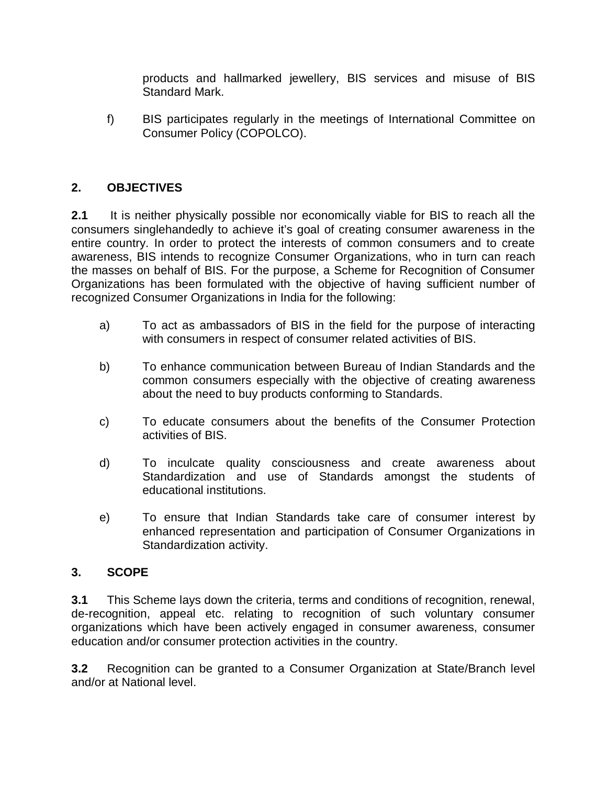products and hallmarked jewellery, BIS services and misuse of BIS Standard Mark.

f) BIS participates regularly in the meetings of International Committee on Consumer Policy (COPOLCO).

# **2. OBJECTIVES**

**2.1** It is neither physically possible nor economically viable for BIS to reach all the consumers singlehandedly to achieve it's goal of creating consumer awareness in the entire country. In order to protect the interests of common consumers and to create awareness, BIS intends to recognize Consumer Organizations, who in turn can reach the masses on behalf of BIS. For the purpose, a Scheme for Recognition of Consumer Organizations has been formulated with the objective of having sufficient number of recognized Consumer Organizations in India for the following:

- a) To act as ambassadors of BIS in the field for the purpose of interacting with consumers in respect of consumer related activities of BIS.
- b) To enhance communication between Bureau of Indian Standards and the common consumers especially with the objective of creating awareness about the need to buy products conforming to Standards.
- c) To educate consumers about the benefits of the Consumer Protection activities of BIS.
- d) To inculcate quality consciousness and create awareness about Standardization and use of Standards amongst the students of educational institutions.
- e) To ensure that Indian Standards take care of consumer interest by enhanced representation and participation of Consumer Organizations in Standardization activity.

## **3. SCOPE**

**3.1** This Scheme lays down the criteria, terms and conditions of recognition, renewal, de-recognition, appeal etc. relating to recognition of such voluntary consumer organizations which have been actively engaged in consumer awareness, consumer education and/or consumer protection activities in the country.

**3.2** Recognition can be granted to a Consumer Organization at State/Branch level and/or at National level.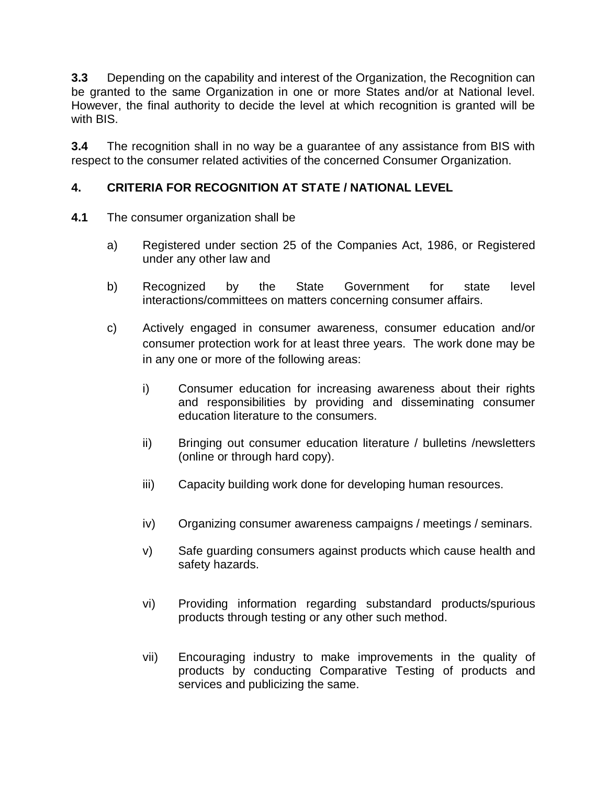**3.3** Depending on the capability and interest of the Organization, the Recognition can be granted to the same Organization in one or more States and/or at National level. However, the final authority to decide the level at which recognition is granted will be with BIS.

**3.4** The recognition shall in no way be a guarantee of any assistance from BIS with respect to the consumer related activities of the concerned Consumer Organization.

# **4. CRITERIA FOR RECOGNITION AT STATE / NATIONAL LEVEL**

- **4.1** The consumer organization shall be
	- a) Registered under section 25 of the Companies Act, 1986, or Registered under any other law and
	- b) Recognized by the State Government for state level interactions/committees on matters concerning consumer affairs.
	- c) Actively engaged in consumer awareness, consumer education and/or consumer protection work for at least three years. The work done may be in any one or more of the following areas:
		- i) Consumer education for increasing awareness about their rights and responsibilities by providing and disseminating consumer education literature to the consumers.
		- ii) Bringing out consumer education literature / bulletins /newsletters (online or through hard copy).
		- iii) Capacity building work done for developing human resources.
		- iv) Organizing consumer awareness campaigns / meetings / seminars.
		- v) Safe guarding consumers against products which cause health and safety hazards.
		- vi) Providing information regarding substandard products/spurious products through testing or any other such method.
		- vii) Encouraging industry to make improvements in the quality of products by conducting Comparative Testing of products and services and publicizing the same.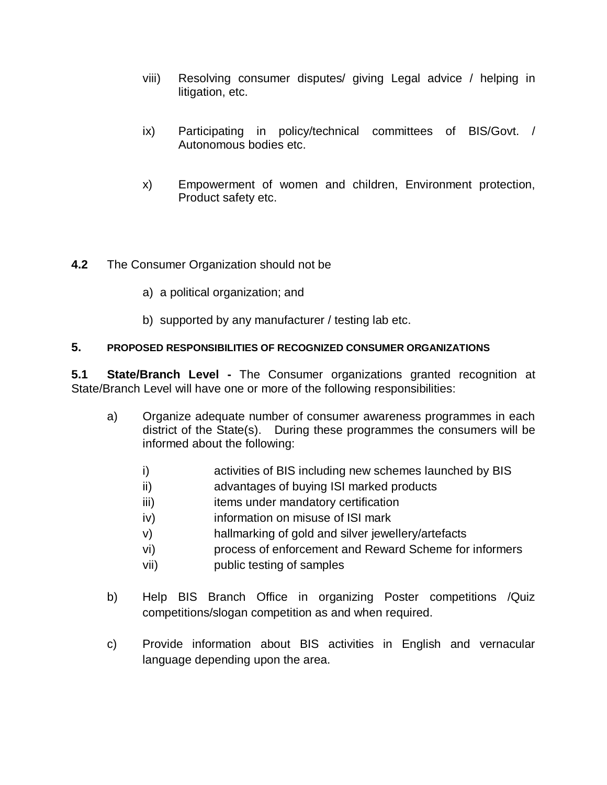- viii) Resolving consumer disputes/ giving Legal advice / helping in litigation, etc.
- ix) Participating in policy/technical committees of BIS/Govt. / Autonomous bodies etc.
- x) Empowerment of women and children, Environment protection, Product safety etc.

## **4.2** The Consumer Organization should not be

- a) a political organization; and
- b) supported by any manufacturer / testing lab etc.

#### **5. PROPOSED RESPONSIBILITIES OF RECOGNIZED CONSUMER ORGANIZATIONS**

**5.1 State/Branch Level -** The Consumer organizations granted recognition at State/Branch Level will have one or more of the following responsibilities:

- a) Organize adequate number of consumer awareness programmes in each district of the State(s). During these programmes the consumers will be informed about the following:
	- i) activities of BIS including new schemes launched by BIS
	- ii) advantages of buying ISI marked products
	- iii) items under mandatory certification
	- iv) information on misuse of ISI mark
	- v) hallmarking of gold and silver jewellery/artefacts
	- vi) process of enforcement and Reward Scheme for informers
	- vii) public testing of samples
- b) Help BIS Branch Office in organizing Poster competitions /Quiz competitions/slogan competition as and when required.
- c) Provide information about BIS activities in English and vernacular language depending upon the area.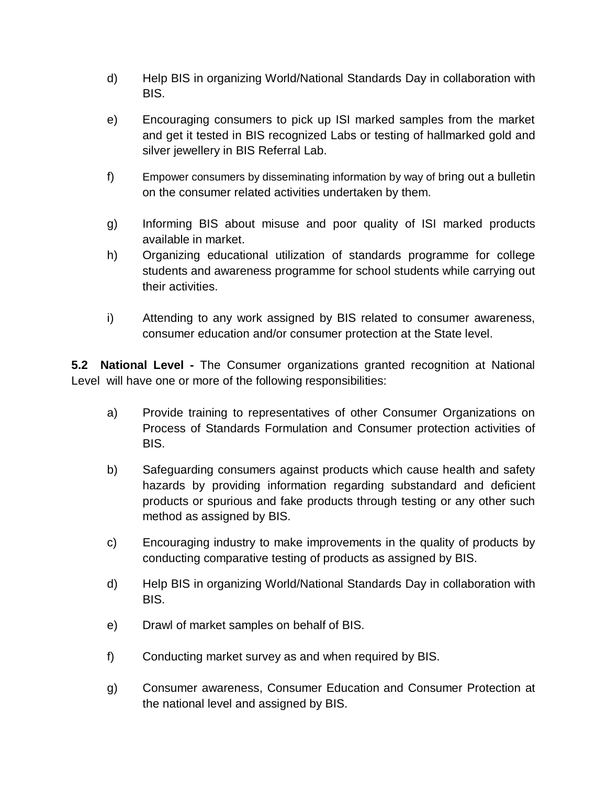- d) Help BIS in organizing World/National Standards Day in collaboration with BIS.
- e) Encouraging consumers to pick up ISI marked samples from the market and get it tested in BIS recognized Labs or testing of hallmarked gold and silver jewellery in BIS Referral Lab.
- f) Empower consumers by disseminating information by way of bring out a bulletin on the consumer related activities undertaken by them.
- g) Informing BIS about misuse and poor quality of ISI marked products available in market.
- h) Organizing educational utilization of standards programme for college students and awareness programme for school students while carrying out their activities.
- i) Attending to any work assigned by BIS related to consumer awareness, consumer education and/or consumer protection at the State level.

**5.2 National Level -** The Consumer organizations granted recognition at National Level will have one or more of the following responsibilities:

- a) Provide training to representatives of other Consumer Organizations on Process of Standards Formulation and Consumer protection activities of BIS.
- b) Safeguarding consumers against products which cause health and safety hazards by providing information regarding substandard and deficient products or spurious and fake products through testing or any other such method as assigned by BIS.
- c) Encouraging industry to make improvements in the quality of products by conducting comparative testing of products as assigned by BIS.
- d) Help BIS in organizing World/National Standards Day in collaboration with BIS.
- e) Drawl of market samples on behalf of BIS.
- f) Conducting market survey as and when required by BIS.
- g) Consumer awareness, Consumer Education and Consumer Protection at the national level and assigned by BIS.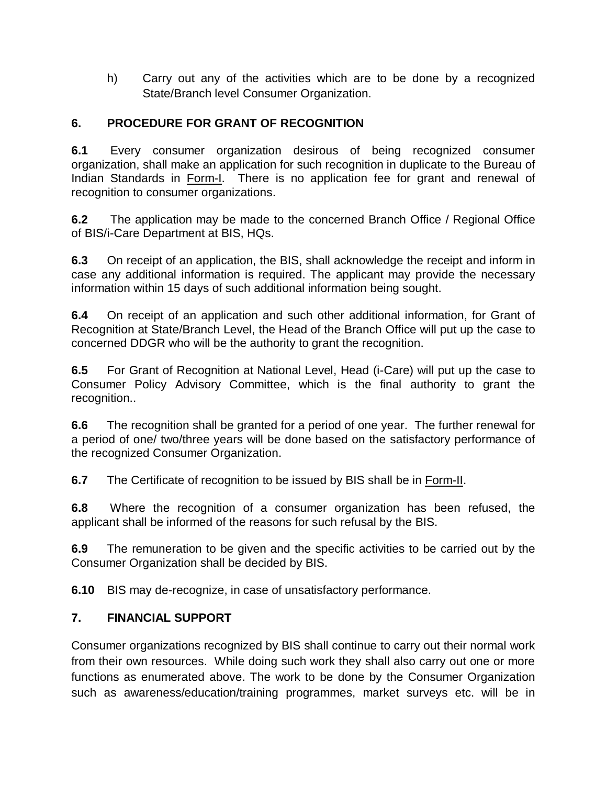h) Carry out any of the activities which are to be done by a recognized State/Branch level Consumer Organization.

# **6. PROCEDURE FOR GRANT OF RECOGNITION**

**6.1** Every consumer organization desirous of being recognized consumer organization, shall make an application for such recognition in duplicate to the Bureau of Indian Standards in Form-I. There is no application fee for grant and renewal of recognition to consumer organizations.

**6.2** The application may be made to the concerned Branch Office / Regional Office of BIS/i-Care Department at BIS, HQs.

**6.3** On receipt of an application, the BIS, shall acknowledge the receipt and inform in case any additional information is required. The applicant may provide the necessary information within 15 days of such additional information being sought.

**6.4** On receipt of an application and such other additional information, for Grant of Recognition at State/Branch Level, the Head of the Branch Office will put up the case to concerned DDGR who will be the authority to grant the recognition.

**6.5** For Grant of Recognition at National Level, Head (i-Care) will put up the case to Consumer Policy Advisory Committee, which is the final authority to grant the recognition..

**6.6** The recognition shall be granted for a period of one year.The further renewal for a period of one/ two/three years will be done based on the satisfactory performance of the recognized Consumer Organization.

**6.7** The Certificate of recognition to be issued by BIS shall be in Form-II.

**6.8** Where the recognition of a consumer organization has been refused, the applicant shall be informed of the reasons for such refusal by the BIS.

**6.9** The remuneration to be given and the specific activities to be carried out by the Consumer Organization shall be decided by BIS.

**6.10** BIS may de-recognize, in case of unsatisfactory performance.

# **7. FINANCIAL SUPPORT**

Consumer organizations recognized by BIS shall continue to carry out their normal work from their own resources. While doing such work they shall also carry out one or more functions as enumerated above. The work to be done by the Consumer Organization such as awareness/education/training programmes, market surveys etc. will be in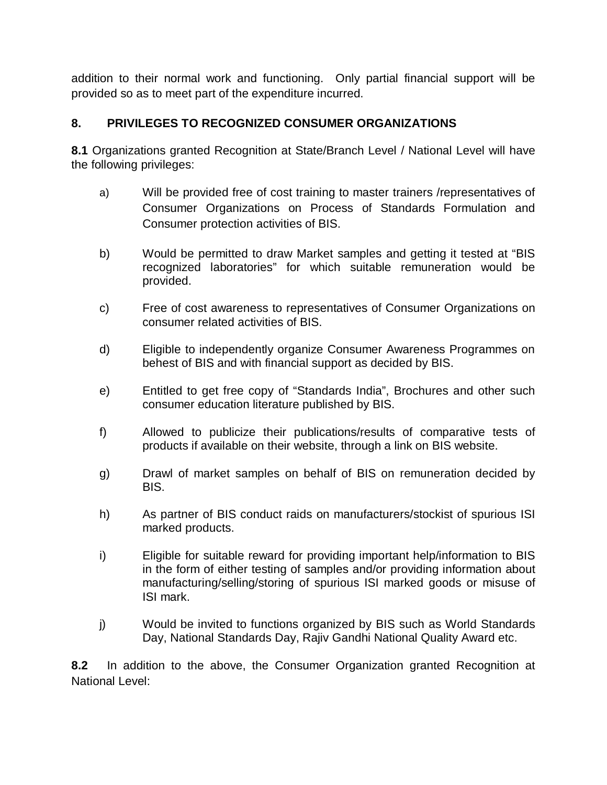addition to their normal work and functioning. Only partial financial support will be provided so as to meet part of the expenditure incurred.

# **8. PRIVILEGES TO RECOGNIZED CONSUMER ORGANIZATIONS**

**8.1** Organizations granted Recognition at State/Branch Level / National Level will have the following privileges:

- a) Will be provided free of cost training to master trainers /representatives of Consumer Organizations on Process of Standards Formulation and Consumer protection activities of BIS.
- b) Would be permitted to draw Market samples and getting it tested at "BIS recognized laboratories" for which suitable remuneration would be provided.
- c) Free of cost awareness to representatives of Consumer Organizations on consumer related activities of BIS.
- d) Eligible to independently organize Consumer Awareness Programmes on behest of BIS and with financial support as decided by BIS.
- e) Entitled to get free copy of "Standards India", Brochures and other such consumer education literature published by BIS.
- f) Allowed to publicize their publications/results of comparative tests of products if available on their website, through a link on BIS website.
- g) Drawl of market samples on behalf of BIS on remuneration decided by BIS.
- h) As partner of BIS conduct raids on manufacturers/stockist of spurious ISI marked products.
- i) Eligible for suitable reward for providing important help/information to BIS in the form of either testing of samples and/or providing information about manufacturing/selling/storing of spurious ISI marked goods or misuse of ISI mark.
- j) Would be invited to functions organized by BIS such as World Standards Day, National Standards Day, Rajiv Gandhi National Quality Award etc.

**8.2** In addition to the above, the Consumer Organization granted Recognition at National Level: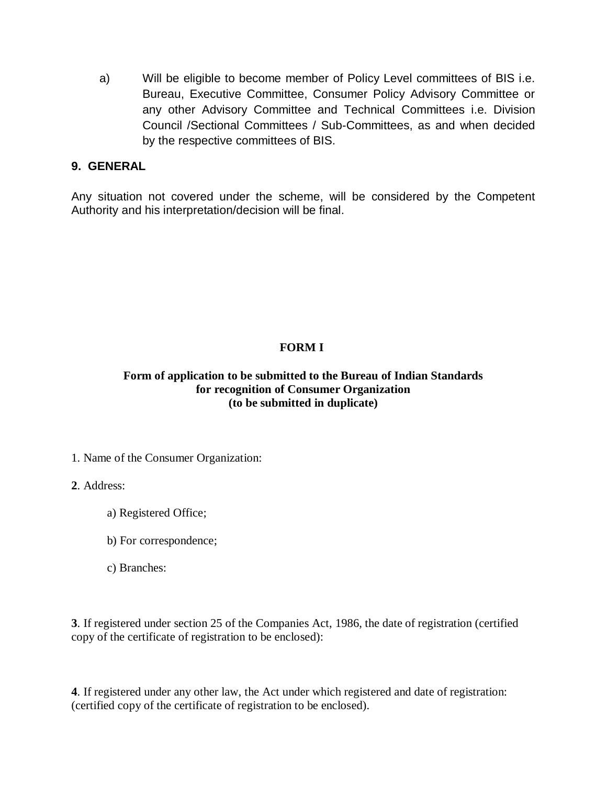a) Will be eligible to become member of Policy Level committees of BIS i.e. Bureau, Executive Committee, Consumer Policy Advisory Committee or any other Advisory Committee and Technical Committees i.e. Division Council /Sectional Committees / Sub-Committees, as and when decided by the respective committees of BIS.

### **9. GENERAL**

Any situation not covered under the scheme, will be considered by the Competent Authority and his interpretation/decision will be final.

### **FORM I**

#### **Form of application to be submitted to the Bureau of Indian Standards for recognition of Consumer Organization (to be submitted in duplicate)**

1. Name of the Consumer Organization:

**2**. Address:

- a) Registered Office;
- b) For correspondence;
- c) Branches:

**3**. If registered under section 25 of the Companies Act, 1986, the date of registration (certified copy of the certificate of registration to be enclosed):

**4**. If registered under any other law, the Act under which registered and date of registration: (certified copy of the certificate of registration to be enclosed).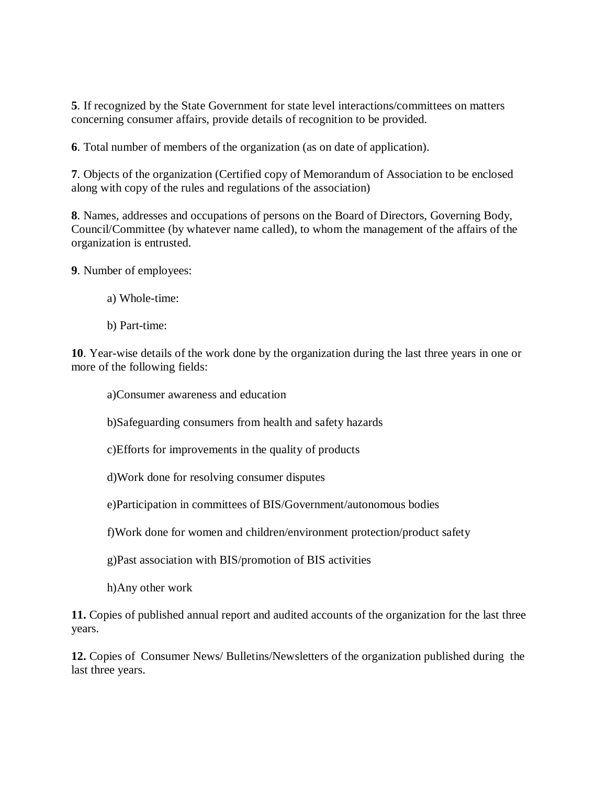**5**. If recognized by the State Government for state level interactions/committees on matters concerning consumer affairs, provide details of recognition to be provided.

**6**. Total number of members of the organization (as on date of application).

**7**. Objects of the organization (Certified copy of Memorandum of Association to be enclosed along with copy of the rules and regulations of the association)

**8**. Names, addresses and occupations of persons on the Board of Directors, Governing Body, Council/Committee (by whatever name called), to whom the management of the affairs of the organization is entrusted.

**9**. Number of employees:

- a) Whole-time:
- b) Part-time:

**10**. Year-wise details of the work done by the organization during the last three years in one or more of the following fields:

a)Consumer awareness and education

b)Safeguarding consumers from health and safety hazards

c)Efforts for improvements in the quality of products

d)Work done for resolving consumer disputes

e)Participation in committees of BIS/Government/autonomous bodies

f)Work done for women and children/environment protection/product safety

g)Past association with BIS/promotion of BIS activities

h)Any other work

**11.** Copies of published annual report and audited accounts of the organization for the last three years.

**12.** Copies of Consumer News/ Bulletins/Newsletters of the organization published during the last three years.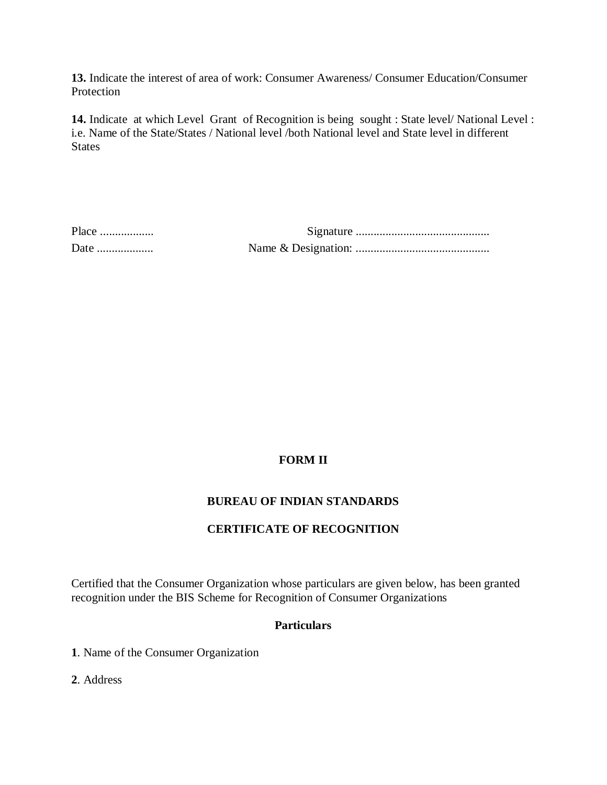**13.** Indicate the interest of area of work: Consumer Awareness/ Consumer Education/Consumer Protection

**14.** Indicate at which Level Grant of Recognition is being sought : State level/ National Level : i.e. Name of the State/States / National level /both National level and State level in different **States** 

## **FORM II**

#### **BUREAU OF INDIAN STANDARDS**

#### **CERTIFICATE OF RECOGNITION**

Certified that the Consumer Organization whose particulars are given below, has been granted recognition under the BIS Scheme for Recognition of Consumer Organizations

#### **Particulars**

**1**. Name of the Consumer Organization

**2**. Address